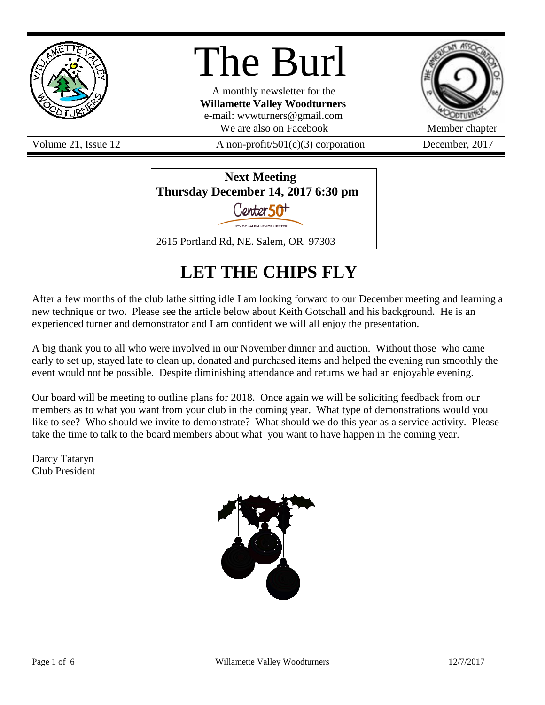

# The Burl

A monthly newsletter for the **Willamette Valley Woodturners** e-mail: wvwturners@gmail.com We are also on Facebook Member chapter

Volume 21, Issue 12  $A$  non-profit/501(c)(3) corporation December, 2017



## **LET THE CHIPS FLY**

After a few months of the club lathe sitting idle I am looking forward to our December meeting and learning a new technique or two. Please see the article below about Keith Gotschall and his background. He is an experienced turner and demonstrator and I am confident we will all enjoy the presentation.

A big thank you to all who were involved in our November dinner and auction. Without those who came early to set up, stayed late to clean up, donated and purchased items and helped the evening run smoothly the event would not be possible. Despite diminishing attendance and returns we had an enjoyable evening.

Our board will be meeting to outline plans for 2018. Once again we will be soliciting feedback from our members as to what you want from your club in the coming year. What type of demonstrations would you like to see? Who should we invite to demonstrate? What should we do this year as a service activity. Please take the time to talk to the board members about what you want to have happen in the coming year.

Darcy Tataryn Club President

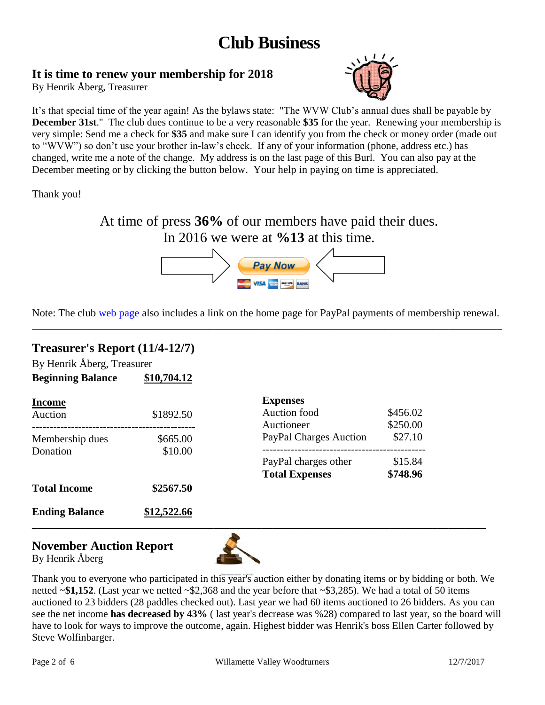### **Club Business**

### **It is time to renew your membership for 2018**

By Henrik Åberg, Treasurer



It's that special time of the year again! As the bylaws state: "The WVW Club's annual dues shall be payable by **December 31st**." The club dues continue to be a very reasonable **\$35** for the year. Renewing your membership is very simple: Send me a check for **\$35** and make sure I can identify you from the check or money order (made out to "WVW") so don't use your brother in-law's check. If any of your information (phone, address etc.) has changed, write me a note of the change. My address is on the last page of this Burl. You can also pay at the December meeting or by clicking the button below. Your help in paying on time is appreciated.

Thank you!

At time of press **36%** of our members have paid their dues. In 2016 we were at **%13** at this time.



Note: The club [web page](http://www.willamettevalleywoodturners.com/) also includes a link on the home page for PayPal payments of membership renewal. \_\_\_\_\_\_\_\_\_\_\_\_\_\_\_\_\_\_\_\_\_\_\_\_\_\_\_\_\_\_\_\_\_\_\_\_\_\_\_\_\_\_\_\_\_\_\_\_\_\_\_\_\_\_\_\_\_\_\_\_\_\_\_\_\_\_\_\_\_\_\_\_\_\_\_\_\_\_\_\_\_\_\_\_\_\_\_\_

### **Treasurer's Report (11/4-12/7)**

By Henrik Åberg, Treasurer **Beginning Balance \$10,704.12**

| <b>Income</b>         |             | <b>Expenses</b>        |          |  |
|-----------------------|-------------|------------------------|----------|--|
| Auction               | \$1892.50   | Auction food           | \$456.02 |  |
|                       |             | Auctioneer             | \$250.00 |  |
| Membership dues       | \$665.00    | PayPal Charges Auction | \$27.10  |  |
| Donation              | \$10.00     |                        |          |  |
|                       |             | PayPal charges other   | \$15.84  |  |
|                       |             | <b>Total Expenses</b>  | \$748.96 |  |
| <b>Total Income</b>   | \$2567.50   |                        |          |  |
| <b>Ending Balance</b> | \$12,522.66 |                        |          |  |
|                       |             |                        |          |  |

### **November Auction Report**





Thank you to everyone who participated in this year's auction either by donating items or by bidding or both. We netted ~**\$1,152**. (Last year we netted ~\$2,368 and the year before that ~\$3,285). We had a total of 50 items auctioned to 23 bidders (28 paddles checked out). Last year we had 60 items auctioned to 26 bidders. As you can see the net income **has decreased by 43%** ( last year's decrease was %28) compared to last year, so the board will have to look for ways to improve the outcome, again. Highest bidder was Henrik's boss Ellen Carter followed by Steve Wolfinbarger.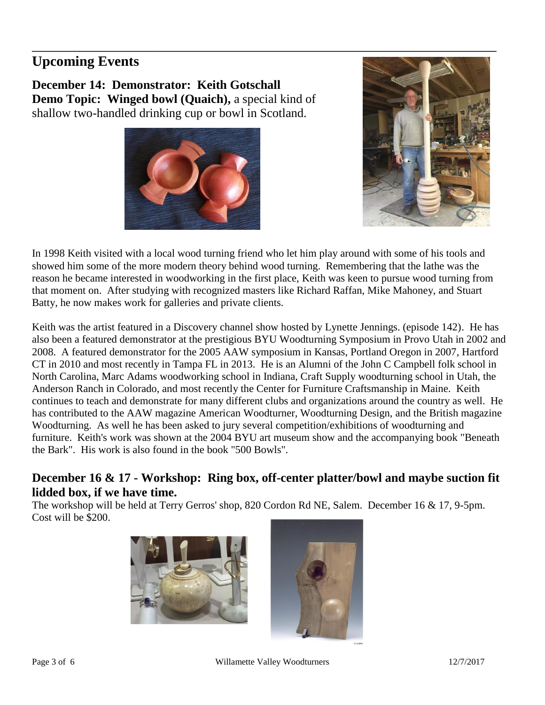### **Upcoming Events**

**December 14: Demonstrator: Keith Gotschall Demo Topic: Winged bowl (Quaich), a special kind of** shallow two-handled drinking cup or bowl in Scotland.





In 1998 Keith visited with a local wood turning friend who let him play around with some of his tools and showed him some of the more modern theory behind wood turning. Remembering that the lathe was the reason he became interested in woodworking in the first place, Keith was keen to pursue wood turning from that moment on. After studying with recognized masters like Richard Raffan, Mike Mahoney, and Stuart Batty, he now makes work for galleries and private clients.

Keith was the artist featured in a Discovery channel show hosted by Lynette Jennings. (episode 142). He has also been a featured demonstrator at the prestigious BYU Woodturning Symposium in Provo Utah in 2002 and 2008. A featured demonstrator for the 2005 AAW symposium in Kansas, Portland Oregon in 2007, Hartford CT in 2010 and most recently in Tampa FL in 2013. He is an Alumni of the John C Campbell folk school in North Carolina, Marc Adams woodworking school in Indiana, Craft Supply woodturning school in Utah, the Anderson Ranch in Colorado, and most recently the Center for Furniture Craftsmanship in Maine. Keith continues to teach and demonstrate for many different clubs and organizations around the country as well. He has contributed to the AAW magazine American Woodturner, Woodturning Design, and the British magazine Woodturning. As well he has been asked to jury several competition/exhibitions of woodturning and furniture. Keith's work was shown at the 2004 BYU art museum show and the accompanying book "Beneath the Bark". His work is also found in the book "500 Bowls".

### **December 16 & 17 - Workshop: Ring box, off-center platter/bowl and maybe suction fit lidded box, if we have time.**

The workshop will be held at Terry Gerros' shop, 820 Cordon Rd NE, Salem. December 16 & 17, 9-5pm. Cost will be \$200.



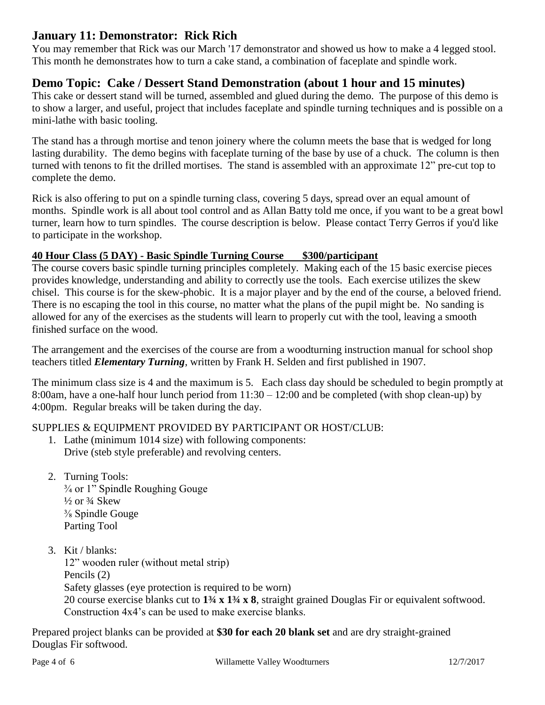### **January 11: Demonstrator: Rick Rich**

You may remember that Rick was our March '17 demonstrator and showed us how to make a 4 legged stool. This month he demonstrates how to turn a cake stand, a combination of faceplate and spindle work.

### **Demo Topic: Cake / Dessert Stand Demonstration (about 1 hour and 15 minutes)**

This cake or dessert stand will be turned, assembled and glued during the demo. The purpose of this demo is to show a larger, and useful, project that includes faceplate and spindle turning techniques and is possible on a mini-lathe with basic tooling.

The stand has a through mortise and tenon joinery where the column meets the base that is wedged for long lasting durability. The demo begins with faceplate turning of the base by use of a chuck. The column is then turned with tenons to fit the drilled mortises. The stand is assembled with an approximate 12" pre-cut top to complete the demo.

Rick is also offering to put on a spindle turning class, covering 5 days, spread over an equal amount of months. Spindle work is all about tool control and as Allan Batty told me once, if you want to be a great bowl turner, learn how to turn spindles. The course description is below. Please contact Terry Gerros if you'd like to participate in the workshop.

### **40 Hour Class (5 DAY) - Basic Spindle Turning Course \$300/participant**

The course covers basic spindle turning principles completely. Making each of the 15 basic exercise pieces provides knowledge, understanding and ability to correctly use the tools. Each exercise utilizes the skew chisel. This course is for the skew-phobic. It is a major player and by the end of the course, a beloved friend. There is no escaping the tool in this course, no matter what the plans of the pupil might be. No sanding is allowed for any of the exercises as the students will learn to properly cut with the tool, leaving a smooth finished surface on the wood.

The arrangement and the exercises of the course are from a woodturning instruction manual for school shop teachers titled *Elementary Turning*, written by Frank H. Selden and first published in 1907.

The minimum class size is 4 and the maximum is 5. Each class day should be scheduled to begin promptly at 8:00am, have a one-half hour lunch period from 11:30 – 12:00 and be completed (with shop clean-up) by 4:00pm. Regular breaks will be taken during the day.

### SUPPLIES & EQUIPMENT PROVIDED BY PARTICIPANT OR HOST/CLUB:

- 1. Lathe (minimum 1014 size) with following components: Drive (steb style preferable) and revolving centers.
- 2. Turning Tools: ¾ or 1" Spindle Roughing Gouge  $\frac{1}{2}$  or  $\frac{3}{4}$  Skew ⅜ Spindle Gouge Parting Tool
- 3. Kit / blanks:

12" wooden ruler (without metal strip) Pencils (2) Safety glasses (eye protection is required to be worn) 20 course exercise blanks cut to **1¾ x 1¾ x 8**, straight grained Douglas Fir or equivalent softwood. Construction 4x4's can be used to make exercise blanks.

Prepared project blanks can be provided at **\$30 for each 20 blank set** and are dry straight-grained Douglas Fir softwood.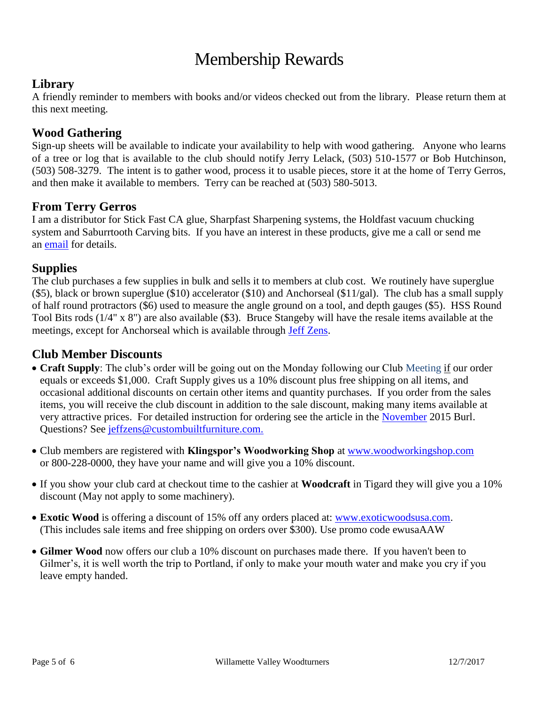### Membership Rewards

### **Library**

A friendly reminder to members with books and/or videos checked out from the library. Please return them at this next meeting.

### **Wood Gathering**

Sign-up sheets will be available to indicate your availability to help with wood gathering. Anyone who learns of a tree or log that is available to the club should notify Jerry Lelack, (503) 510-1577 or Bob Hutchinson, (503) 508-3279. The intent is to gather wood, process it to usable pieces, store it at the home of Terry Gerros, and then make it available to members. Terry can be reached at (503) 580-5013.

### **From Terry Gerros**

I am a distributor for Stick Fast CA glue, Sharpfast Sharpening systems, the Holdfast vacuum chucking system and Saburrtooth Carving bits. If you have an interest in these products, give me a call or send me an [email](mailto:gerrost@yahoo.com) for details.

### **Supplies**

The club purchases a few supplies in bulk and sells it to members at club cost. We routinely have superglue (\$5), black or brown superglue (\$10) accelerator (\$10) and Anchorseal (\$11/gal). The club has a small supply of half round protractors (\$6) used to measure the angle ground on a tool, and depth gauges (\$5). HSS Round Tool Bits rods (1/4" x 8") are also available (\$3). Bruce Stangeby will have the resale items available at the meetings, except for Anchorseal which is available through [Jeff Zens.](mailto:jszens@custombuiltfurniture.com)

### **Club Member Discounts**

- **Craft Supply**: The club's order will be going out on the Monday following our Club Meeting if our order equals or exceeds \$1,000. Craft Supply gives us a 10% discount plus free shipping on all items, and occasional additional discounts on certain other items and quantity purchases. If you order from the sales items, you will receive the club discount in addition to the sale discount, making many items available at very attractive prices. For detailed instruction for ordering see the article in the [November](http://www.willamettevalleywoodturners.com/newsletters/2015_11_WVW_Newsletter.pdf) 2015 Burl. Questions? See [jeffzens@custombuiltfurniture.com.](mailto:jeffzens@custombuiltfurniture.com.)
- Club members are registered with **Klingspor's Woodworking Shop** at [www.woodworkingshop.com](http://www.woodworkingshop.com/)  or 800-228-0000, they have your name and will give you a 10% discount.
- If you show your club card at checkout time to the cashier at **Woodcraft** in Tigard they will give you a 10% discount (May not apply to some machinery).
- **Exotic Wood** is offering a discount of 15% off any orders placed at: [www.exoticwoodsusa.com.](http://www.exoticwoodsusa.com/) (This includes sale items and free shipping on orders over \$300). Use promo code ewusaAAW
- **Gilmer Wood** now offers our club a 10% discount on purchases made there. If you haven't been to Gilmer's, it is well worth the trip to Portland, if only to make your mouth water and make you cry if you leave empty handed.